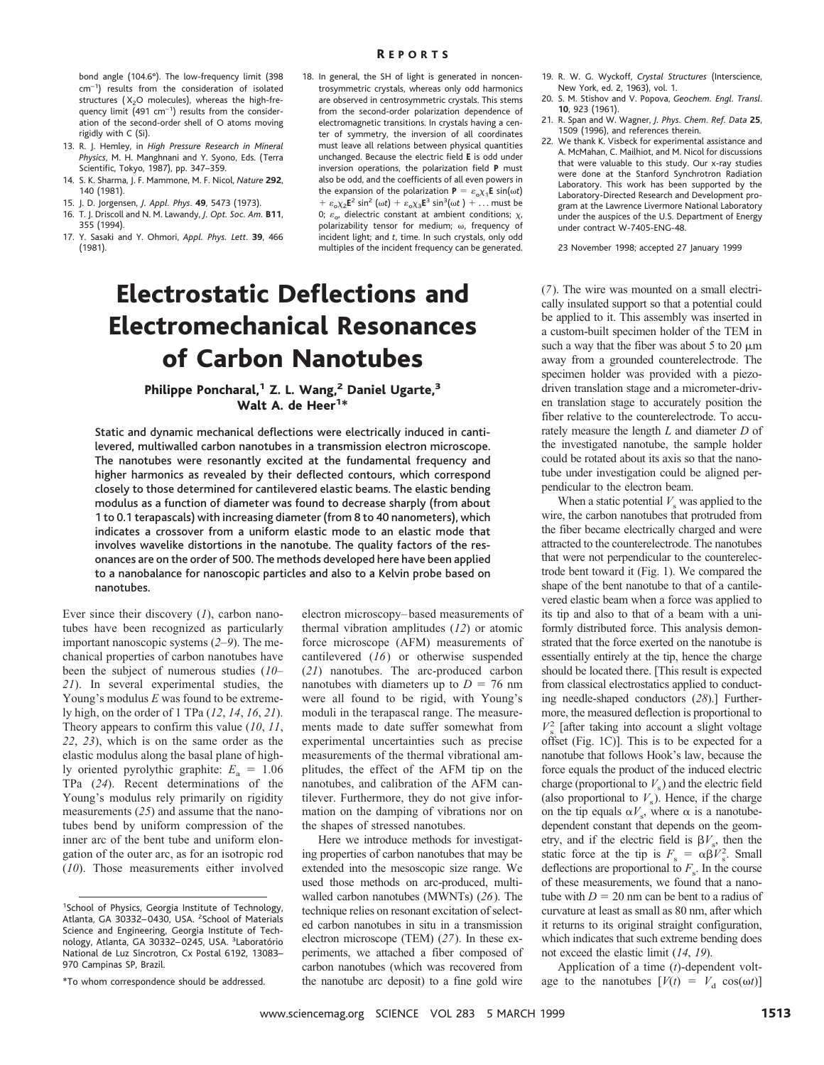bond angle (104.6°). The low-frequency limit (398 cm–1) results from the consideration of isolated structures  $(X, O \text{ molecules})$ , whereas the high-frequency limit  $(491 \text{ cm}^{-1})$  results from the consideration of the second-order shell of O atoms moving rigidly with C (Si).

- 13. R. J. Hemley, in *High Pressure Research in Mineral Physics*, M. H. Manghnani and Y. Syono, Eds. (Terra Scientific, Tokyo, 1987), pp. 347–359.
- 14. S. K. Sharma, J. F. Mammone, M. F. Nicol, *Nature* **292**, 140 (1981).
- 15. J. D. Jorgensen, *J. Appl. Phys*. **49**, 5473 (1973).
- 16. T. J. Driscoll and N. M. Lawandy, *J. Opt. Soc. Am.* **B11**, 355 (1994).
- 17. Y. Sasaki and Y. Ohmori, *Appl. Phys. Lett*. **39**, 466 (1981).
- 18. In general, the SH of light is generated in noncentrosymmetric crystals, whereas only odd harmonics are observed in centrosymmetric crystals. This stems from the second-order polarization dependence of electromagnetic transitions. In crystals having a center of symmetry, the inversion of all coordinates must leave all relations between physical quantities unchanged. Because the electric field **E** is odd under inversion operations, the polarization field **P** must also be odd, and the coefficients of all even powers in the expansion of the polarization **P** =  $\varepsilon_o \chi_1 \mathbf{E} \sin(\omega t)$  $+ \varepsilon_0 \chi_2 \mathbf{E}^2 \sin^2 (\omega t) + \varepsilon_0 \chi_3 \mathbf{E}^3 \sin^3(\omega t) + \dots$  must be 0;  $\varepsilon_{o}$ , dielectric constant at ambient conditions;  $\chi$ , polarizability tensor for medium;  $\omega$ , frequency of incident light; and *t*, time. In such crystals, only odd multiples of the incident frequency can be generated.

## Electrostatic Deflections and Electromechanical Resonances of Carbon Nanotubes

## Philippe Poncharal,<sup>1</sup> Z. L. Wang,<sup>2</sup> Daniel Ugarte,<sup>3</sup> Walt A. de Heer<sup>1\*</sup>

Static and dynamic mechanical deflections were electrically induced in cantilevered, multiwalled carbon nanotubes in a transmission electron microscope. The nanotubes were resonantly excited at the fundamental frequency and higher harmonics as revealed by their deflected contours, which correspond closely to those determined for cantilevered elastic beams. The elastic bending modulus as a function of diameter was found to decrease sharply (from about 1 to 0.1 terapascals) with increasing diameter (from 8 to 40 nanometers), which indicates a crossover from a uniform elastic mode to an elastic mode that involves wavelike distortions in the nanotube. The quality factors of the resonances are on the order of 500. The methods developed here have been applied to a nanobalance for nanoscopic particles and also to a Kelvin probe based on nanotubes.

Ever since their discovery (*1*), carbon nanotubes have been recognized as particularly important nanoscopic systems (*2*–*9*). The mechanical properties of carbon nanotubes have been the subject of numerous studies (*10*– *21*). In several experimental studies, the Young's modulus *E* was found to be extremely high, on the order of 1 TPa (*12*, *14*, *16*, *21*). Theory appears to confirm this value (*10*, *11*, *22*, *23*), which is on the same order as the elastic modulus along the basal plane of highly oriented pyrolythic graphite:  $E_a = 1.06$ TPa (*24*). Recent determinations of the Young's modulus rely primarily on rigidity measurements (*25*) and assume that the nanotubes bend by uniform compression of the inner arc of the bent tube and uniform elongation of the outer arc, as for an isotropic rod (*10*). Those measurements either involved electron microscopy–based measurements of thermal vibration amplitudes (*12*) or atomic force microscope (AFM) measurements of cantilevered (*16*) or otherwise suspended (*21*) nanotubes. The arc-produced carbon nanotubes with diameters up to  $D = 76$  nm were all found to be rigid, with Young's moduli in the terapascal range. The measurements made to date suffer somewhat from experimental uncertainties such as precise measurements of the thermal vibrational amplitudes, the effect of the AFM tip on the nanotubes, and calibration of the AFM cantilever. Furthermore, they do not give information on the damping of vibrations nor on the shapes of stressed nanotubes.

Here we introduce methods for investigating properties of carbon nanotubes that may be extended into the mesoscopic size range. We used those methods on arc-produced, multiwalled carbon nanotubes (MWNTs) (*26*). The technique relies on resonant excitation of selected carbon nanotubes in situ in a transmission electron microscope (TEM) (*27*). In these experiments, we attached a fiber composed of carbon nanotubes (which was recovered from the nanotube arc deposit) to a fine gold wire

- 19. R. W. G. Wyckoff, *Crystal Structures* (Interscience, New York, ed. 2, 1963), vol. 1.
- 20. S. M. Stishov and V. Popova, *Geochem. Engl. Transl*. **10**, 923 (1961).
- 21. R. Span and W. Wagner, *J. Phys. Chem. Ref. Data* **25**, 1509 (1996), and references therein.
- 22. We thank K. Visbeck for experimental assistance and A. McMahan, C. Mailhiot, and M. Nicol for discussions that were valuable to this study. Our x-ray studies were done at the Stanford Synchrotron Radiation Laboratory. This work has been supported by the Laboratory-Directed Research and Development program at the Lawrence Livermore National Laboratory under the auspices of the U.S. Department of Energy under contract W-7405-ENG-48.

23 November 1998; accepted 27 January 1999

(*7*). The wire was mounted on a small electrically insulated support so that a potential could be applied to it. This assembly was inserted in a custom-built specimen holder of the TEM in such a way that the fiber was about 5 to 20  $\mu$ m away from a grounded counterelectrode. The specimen holder was provided with a piezodriven translation stage and a micrometer-driven translation stage to accurately position the fiber relative to the counterelectrode. To accurately measure the length *L* and diameter *D* of the investigated nanotube, the sample holder could be rotated about its axis so that the nanotube under investigation could be aligned perpendicular to the electron beam.

When a static potential  $V<sub>s</sub>$  was applied to the wire, the carbon nanotubes that protruded from the fiber became electrically charged and were attracted to the counterelectrode. The nanotubes that were not perpendicular to the counterelectrode bent toward it (Fig. 1). We compared the shape of the bent nanotube to that of a cantilevered elastic beam when a force was applied to its tip and also to that of a beam with a uniformly distributed force. This analysis demonstrated that the force exerted on the nanotube is essentially entirely at the tip, hence the charge should be located there. [This result is expected from classical electrostatics applied to conducting needle-shaped conductors (*28*).] Furthermore, the measured deflection is proportional to  $V_s^2$  [after taking into account a slight voltage offset (Fig. 1C)]. This is to be expected for a nanotube that follows Hook's law, because the force equals the product of the induced electric charge (proportional to  $V<sub>s</sub>$ ) and the electric field (also proportional to  $V_s$ ). Hence, if the charge on the tip equals  $\alpha V_s$ , where  $\alpha$  is a nanotubedependent constant that depends on the geometry, and if the electric field is  $\beta V_s$ , then the static force at the tip is  $F_s = \alpha \beta V_s^2$ . Small deflections are proportional to  $F_s$ . In the course of these measurements, we found that a nanotube with  $D = 20$  nm can be bent to a radius of curvature at least as small as 80 nm, after which it returns to its original straight configuration, which indicates that such extreme bending does not exceed the elastic limit (*14*, *19*).

Application of a time (*t*)-dependent voltage to the nanotubes  $[V(t)] = V_d \cos(\omega t)$ 

<sup>&</sup>lt;sup>1</sup>School of Physics, Georgia Institute of Technology, Atlanta, GA 30332-0430, USA. <sup>2</sup>School of Materials Science and Engineering, Georgia Institute of Technology, Atlanta, GA 30332–0245, USA. <sup>3</sup>Laboratório National de Luz Síncrotron, Cx Postal 6192, 13083-970 Campinas SP, Brazil.

<sup>\*</sup>To whom correspondence should be addressed.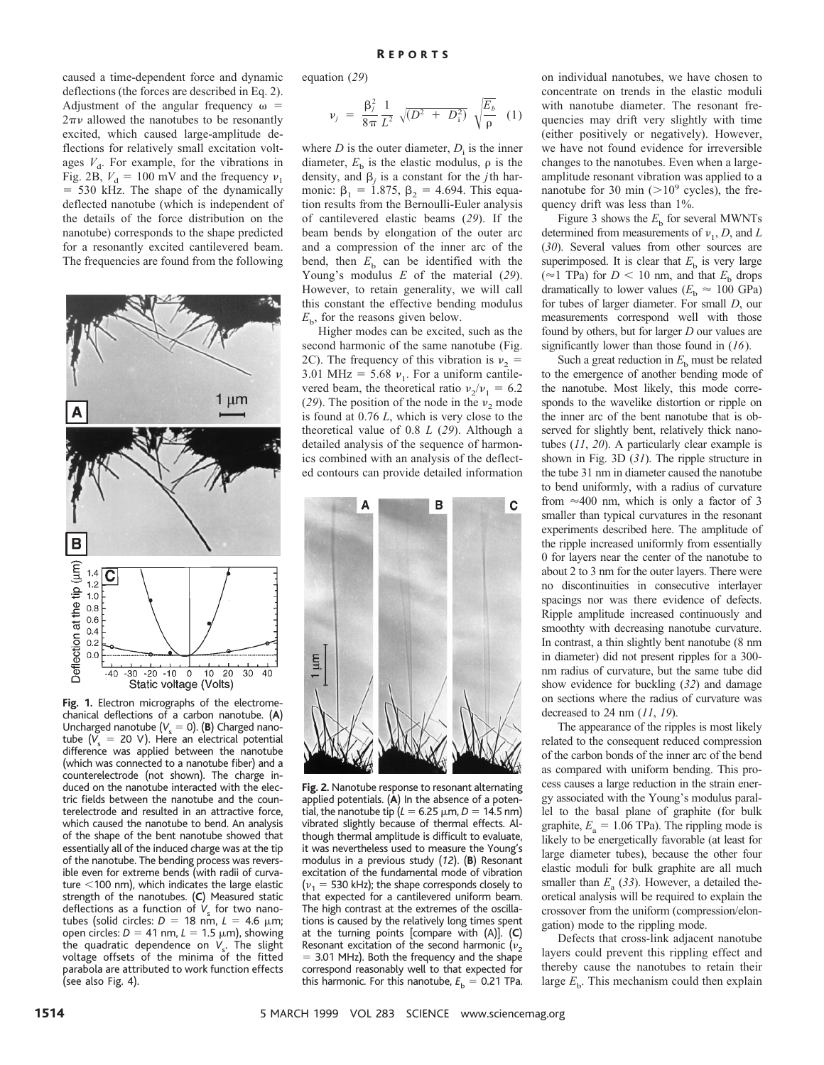caused a time-dependent force and dynamic deflections (the forces are described in Eq. 2). Adjustment of the angular frequency  $\omega =$  $2\pi\nu$  allowed the nanotubes to be resonantly excited, which caused large-amplitude deflections for relatively small excitation voltages  $V<sub>d</sub>$ . For example, for the vibrations in Fig. 2B,  $V_d = 100$  mV and the frequency  $v_1$ 5 530 kHz. The shape of the dynamically deflected nanotube (which is independent of the details of the force distribution on the nanotube) corresponds to the shape predicted for a resonantly excited cantilevered beam. The frequencies are found from the following



**Fig. 1.** Electron micrographs of the electromechanical deflections of a carbon nanotube. (**A**) Uncharged nanotube  $(V_s = 0)$ . (**B**) Charged nanotube ( $V_s$  = 20 V). Here an electrical potential difference was applied between the nanotube (which was connected to a nanotube fiber) and a counterelectrode (not shown). The charge induced on the nanotube interacted with the electric fields between the nanotube and the counterelectrode and resulted in an attractive force, which caused the nanotube to bend. An analysis of the shape of the bent nanotube showed that essentially all of the induced charge was at the tip of the nanotube. The bending process was reversible even for extreme bends (with radii of curvature  $<$ 100 nm), which indicates the large elastic strength of the nanotubes. (**C**) Measured static deflections as a function of  $V_s$  for two nanotubes (solid circles:  $D = 18$  nm,  $L = 4.6$   $\mu$ m; open circles:  $D = 41$  nm,  $L = 1.5$   $\mu$ m), showing the quadratic dependence on *V*<sub>s</sub>. The slight voltage offsets of the minima of the fitted parabola are attributed to work function effects (see also Fig. 4).

equation (*29*)

$$
\nu_j = \frac{\beta_j^2}{8\pi} \frac{1}{L^2} \sqrt{D^2 + D_i^2} \sqrt{\frac{E_b}{\rho}} (1)
$$

where  $D$  is the outer diameter,  $D_i$  is the inner diameter,  $E<sub>b</sub>$  is the elastic modulus,  $\rho$  is the density, and  $\beta$ <sub>*i*</sub> is a constant for the *j*th harmonic:  $\beta_1 = 1.875$ ,  $\beta_2 = 4.694$ . This equation results from the Bernoulli-Euler analysis of cantilevered elastic beams (*29*). If the beam bends by elongation of the outer arc and a compression of the inner arc of the bend, then  $E<sub>b</sub>$  can be identified with the Young's modulus *E* of the material (*29*). However, to retain generality, we will call this constant the effective bending modulus  $E<sub>b</sub>$ , for the reasons given below.

Higher modes can be excited, such as the second harmonic of the same nanotube (Fig. 2C). The frequency of this vibration is  $v_2$  = 3.01 MHz = 5.68  $v_1$ . For a uniform cantilevered beam, the theoretical ratio  $v_2/v_1 = 6.2$ (29). The position of the node in the  $v_2$  mode is found at 0.76 *L*, which is very close to the theoretical value of 0.8 *L* (*29*). Although a detailed analysis of the sequence of harmonics combined with an analysis of the deflected contours can provide detailed information



**Fig. 2.** Nanotube response to resonant alternating applied potentials. (**A**) In the absence of a potential, the nanotube tip ( $L = 6.25 \mu m$ ,  $D = 14.5 \text{ nm}$ ) vibrated slightly because of thermal effects. Although thermal amplitude is difficult to evaluate, it was nevertheless used to measure the Young's modulus in a previous study (*12*). (**B**) Resonant excitation of the fundamental mode of vibration  $(v_1 = 530 \text{ kHz})$ ; the shape corresponds closely to that expected for a cantilevered uniform beam. The high contrast at the extremes of the oscillations is caused by the relatively long times spent at the turning points [compare with (A)]. (**C**) Resonant excitation of the second harmonic  $(v_2)$ 5 3.01 MHz). Both the frequency and the shape correspond reasonably well to that expected for this harmonic. For this nanotube,  $E_b = 0.21$  TPa.

on individual nanotubes, we have chosen to concentrate on trends in the elastic moduli with nanotube diameter. The resonant frequencies may drift very slightly with time (either positively or negatively). However, we have not found evidence for irreversible changes to the nanotubes. Even when a largeamplitude resonant vibration was applied to a nanotube for 30 min ( $>10^9$  cycles), the frequency drift was less than 1%.

Figure 3 shows the  $E<sub>b</sub>$  for several MWNTs determined from measurements of  $v_1$ , *D*, and *L* (*30*). Several values from other sources are superimposed. It is clear that  $E<sub>b</sub>$  is very large ( $\approx$ 1 TPa) for *D* < 10 nm, and that  $E<sub>b</sub>$  drops dramatically to lower values ( $E<sub>b</sub> \approx 100$  GPa) for tubes of larger diameter. For small *D*, our measurements correspond well with those found by others, but for larger *D* our values are significantly lower than those found in (*16*).

Such a great reduction in  $E<sub>b</sub>$  must be related to the emergence of another bending mode of the nanotube. Most likely, this mode corresponds to the wavelike distortion or ripple on the inner arc of the bent nanotube that is observed for slightly bent, relatively thick nanotubes (*11*, *20*). A particularly clear example is shown in Fig. 3D (*31*). The ripple structure in the tube 31 nm in diameter caused the nanotube to bend uniformly, with a radius of curvature from  $\approx$  400 nm, which is only a factor of 3 smaller than typical curvatures in the resonant experiments described here. The amplitude of the ripple increased uniformly from essentially 0 for layers near the center of the nanotube to about 2 to 3 nm for the outer layers. There were no discontinuities in consecutive interlayer spacings nor was there evidence of defects. Ripple amplitude increased continuously and smoothty with decreasing nanotube curvature. In contrast, a thin slightly bent nanotube (8 nm in diameter) did not present ripples for a 300 nm radius of curvature, but the same tube did show evidence for buckling (*32*) and damage on sections where the radius of curvature was decreased to 24 nm (*11*, *19*).

The appearance of the ripples is most likely related to the consequent reduced compression of the carbon bonds of the inner arc of the bend as compared with uniform bending. This process causes a large reduction in the strain energy associated with the Young's modulus parallel to the basal plane of graphite (for bulk graphite,  $E_a = 1.06$  TPa). The rippling mode is likely to be energetically favorable (at least for large diameter tubes), because the other four elastic moduli for bulk graphite are all much smaller than  $E_a$  (33). However, a detailed theoretical analysis will be required to explain the crossover from the uniform (compression/elongation) mode to the rippling mode.

Defects that cross-link adjacent nanotube layers could prevent this rippling effect and thereby cause the nanotubes to retain their large  $E<sub>b</sub>$ . This mechanism could then explain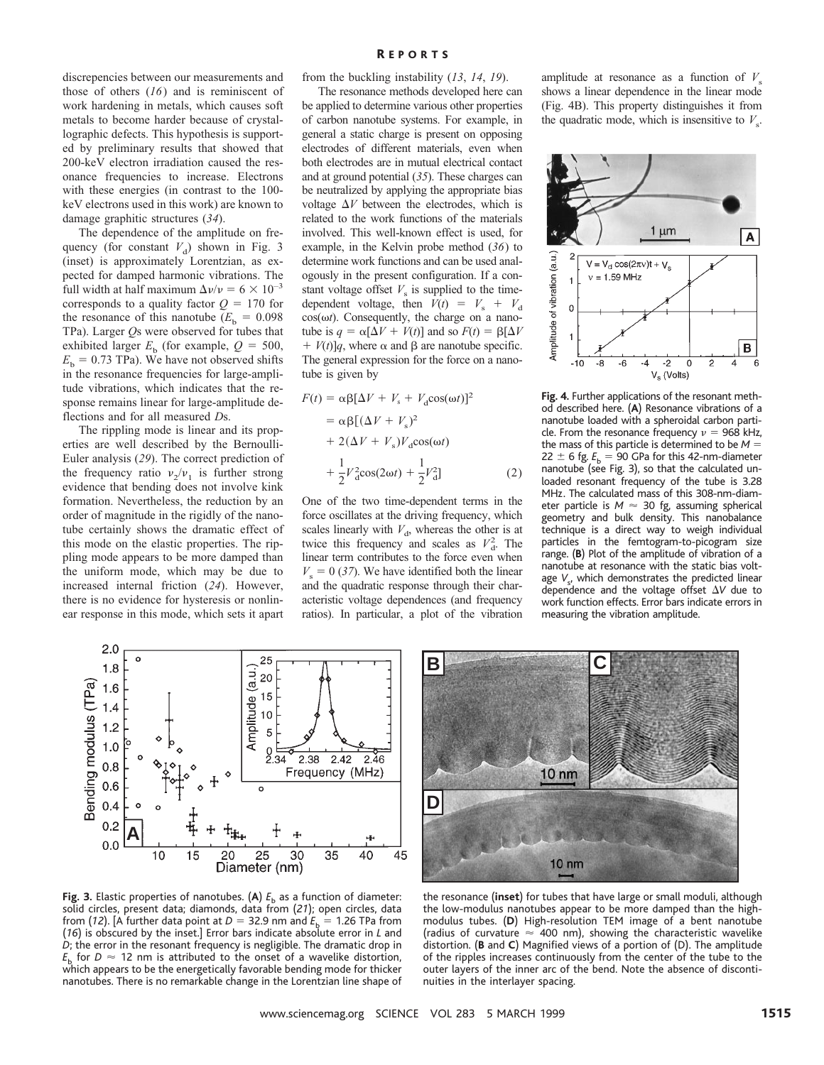discrepencies between our measurements and those of others (*16*) and is reminiscent of work hardening in metals, which causes soft metals to become harder because of crystallographic defects. This hypothesis is supported by preliminary results that showed that 200-keV electron irradiation caused the resonance frequencies to increase. Electrons with these energies (in contrast to the 100 keV electrons used in this work) are known to damage graphitic structures (*34*).

The dependence of the amplitude on frequency (for constant  $V_d$ ) shown in Fig. 3 (inset) is approximately Lorentzian, as expected for damped harmonic vibrations. The full width at half maximum  $\Delta v/v = 6 \times 10^{-3}$ corresponds to a quality factor  $Q = 170$  for the resonance of this nanotube  $(E_b = 0.098$ TPa). Larger *Q*s were observed for tubes that exhibited larger  $E<sub>b</sub>$  (for example,  $Q = 500$ ,  $E<sub>b</sub> = 0.73$  TPa). We have not observed shifts in the resonance frequencies for large-amplitude vibrations, which indicates that the response remains linear for large-amplitude deflections and for all measured *D*s.

The rippling mode is linear and its properties are well described by the Bernoulli-Euler analysis (*29*). The correct prediction of the frequency ratio  $v_2/v_1$  is further strong evidence that bending does not involve kink formation. Nevertheless, the reduction by an order of magnitude in the rigidly of the nanotube certainly shows the dramatic effect of this mode on the elastic properties. The rippling mode appears to be more damped than the uniform mode, which may be due to increased internal friction (*24*). However, there is no evidence for hysteresis or nonlinear response in this mode, which sets it apart from the buckling instability (*13*, *14*, *19*).

The resonance methods developed here can be applied to determine various other properties of carbon nanotube systems. For example, in general a static charge is present on opposing electrodes of different materials, even when both electrodes are in mutual electrical contact and at ground potential (*35*). These charges can be neutralized by applying the appropriate bias voltage  $\Delta V$  between the electrodes, which is related to the work functions of the materials involved. This well-known effect is used, for example, in the Kelvin probe method (*36*) to determine work functions and can be used analogously in the present configuration. If a constant voltage offset  $V<sub>s</sub>$  is supplied to the timedependent voltage, then  $V(t) = V_s + V_d$  $cos(\omega t)$ . Consequently, the charge on a nanotube is  $q = \alpha[\Delta V + V(t)]$  and so  $F(t) = \beta[\Delta V]$  $+ V(t)$ ]*q*, where  $\alpha$  and  $\beta$  are nanotube specific. The general expression for the force on a nanotube is given by

$$
F(t) = \alpha \beta [\Delta V + V_s + V_d \cos(\omega t)]^2
$$
  
=  $\alpha \beta [(\Delta V + V_s)^2$   
+  $2(\Delta V + V_s) V_d \cos(\omega t)$   
+  $\frac{1}{2} V_d^2 \cos(2\omega t) + \frac{1}{2} V_d^2$  (2)

One of the two time-dependent terms in the force oscillates at the driving frequency, which scales linearly with  $V<sub>d</sub>$ , whereas the other is at twice this frequency and scales as  $V<sub>d</sub><sup>2</sup>$ . The linear term contributes to the force even when  $V<sub>s</sub> = 0$  (37). We have identified both the linear and the quadratic response through their characteristic voltage dependences (and frequency ratios). In particular, a plot of the vibration

amplitude at resonance as a function of  $V<sub>s</sub>$ shows a linear dependence in the linear mode (Fig. 4B). This property distinguishes it from the quadratic mode, which is insensitive to  $V_s$ .



**Fig. 4.** Further applications of the resonant method described here. (**A**) Resonance vibrations of a nanotube loaded with a spheroidal carbon particle. From the resonance frequency  $v = 968$  kHz, the mass of this particle is determined to be  $M =$  $22 \pm 6$  fg.  $E_b = 90$  GPa for this 42-nm-diameter nanotube (see Fig. 3), so that the calculated unloaded resonant frequency of the tube is 3.28 MHz. The calculated mass of this 308-nm-diameter particle is  $M \approx 30$  fg, assuming spherical geometry and bulk density. This nanobalance technique is a direct way to weigh individual particles in the femtogram-to-picogram size range. (**B**) Plot of the amplitude of vibration of a nanotube at resonance with the static bias voltage V<sub>s</sub>, which demonstrates the predicted linear dependence and the voltage offset  $\Delta V$  due to work function effects. Error bars indicate errors in measuring the vibration amplitude.



**Fig. 3.** Elastic properties of nanotubes. (A)  $E<sub>b</sub>$  as a function of diameter: solid circles, present data; diamonds, data from (*21*); open circles, data from (12). [A further data point at  $D = 32.9$  nm and  $E<sub>b</sub> = 1.26$  TPa from (*16*) is obscured by the inset.] Error bars indicate absolute error in *L* and *D*; the error in the resonant frequency is negligible. The dramatic drop in  $E<sub>b</sub>$  for *D*  $\approx$  12 nm is attributed to the onset of a wavelike distortion, which appears to be the energetically favorable bending mode for thicker nanotubes. There is no remarkable change in the Lorentzian line shape of



the resonance (**inset**) for tubes that have large or small moduli, although the low-modulus nanotubes appear to be more damped than the highmodulus tubes. (**D**) High-resolution TEM image of a bent nanotube (radius of curvature  $\approx$  400 nm), showing the characteristic wavelike distortion. (**B** and **C**) Magnified views of a portion of (D). The amplitude of the ripples increases continuously from the center of the tube to the outer layers of the inner arc of the bend. Note the absence of discontinuities in the interlayer spacing.